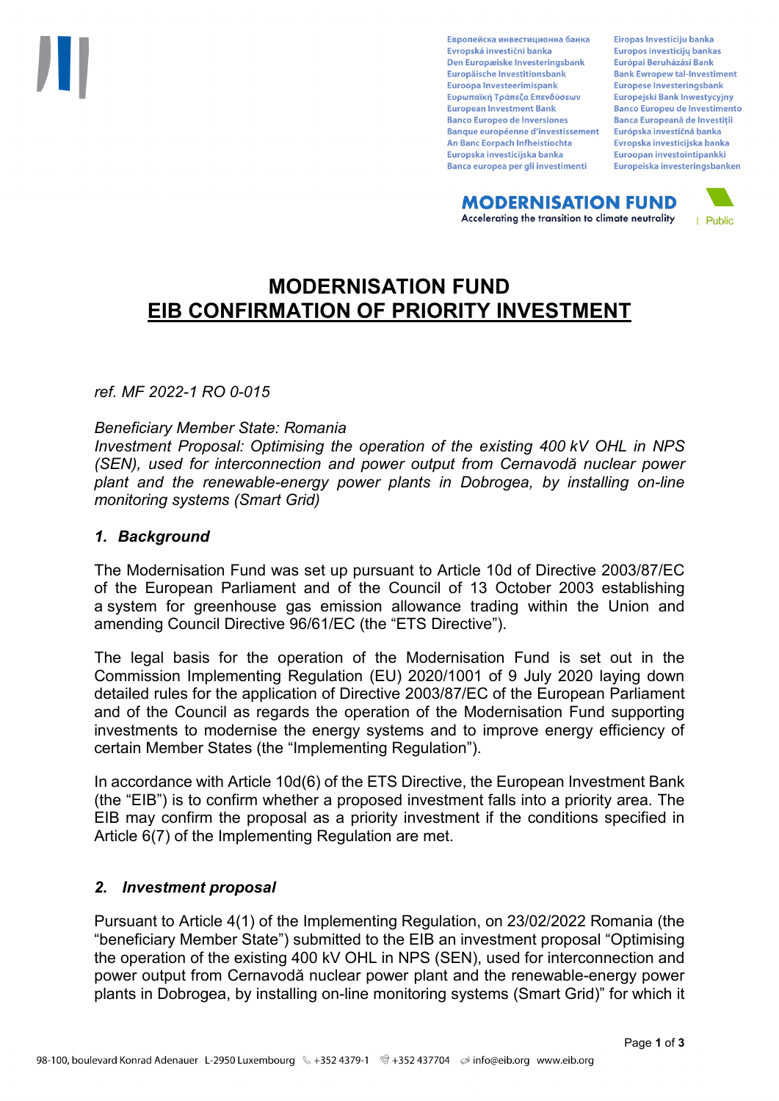Европейска инвестиционна банка Evropská investiční banka Den Europæiske Investeringsbank Europäische Investitionsbank Euroopa Investeerimispank Ευρωπαϊκή Τράπεζα Επενδύσεων **European Investment Bank Banco Europeo de Inversiones Banque européenne d'investissement** An Banc Eorpach Infheistíochta Europska investicijska banka Banca europea per gli investimenti

Eiropas Investīciju banka Europos investicijų bankas Európai Beruházási Bank **Bank Ewropew tal-Investiment** Europese Investeringsbank **Europeiski Bank Inwestycviny Banco Europeu de Investimento Banca Europeană de Investiții** Európska investičná banka Evropska investicijska banka Euroopan investointipankki Europeiska investeringsbanken

**MODERNISATION FUND** Accelerating the transition to climate neutrality



# **MODERNISATION FUND EIB CONFIRMATION OF PRIORITY INVESTMENT**

*ref. MF 2022-1 RO 0-015*

#### *Beneficiary Member State: Romania*

*Investment Proposal: Optimising the operation of the existing 400 kV OHL in NPS (SEN), used for interconnection and power output from Cernavodă nuclear power plant and the renewable-energy power plants in Dobrogea, by installing on-line monitoring systems (Smart Grid)*

#### *1. Background*

The Modernisation Fund was set up pursuant to Article 10d of Directive 2003/87/EC of the European Parliament and of the Council of 13 October 2003 establishing a system for greenhouse gas emission allowance trading within the Union and amending Council Directive 96/61/EC (the "ETS Directive").

The legal basis for the operation of the Modernisation Fund is set out in the Commission Implementing Regulation (EU) 2020/1001 of 9 July 2020 laying down detailed rules for the application of Directive 2003/87/EC of the European Parliament and of the Council as regards the operation of the Modernisation Fund supporting investments to modernise the energy systems and to improve energy efficiency of certain Member States (the "Implementing Regulation").

In accordance with Article 10d(6) of the ETS Directive, the European Investment Bank (the "EIB") is to confirm whether a proposed investment falls into a priority area. The EIB may confirm the proposal as a priority investment if the conditions specified in Article 6(7) of the Implementing Regulation are met.

## *2. Investment proposal*

Pursuant to Article 4(1) of the Implementing Regulation, on 23/02/2022 Romania (the "beneficiary Member State") submitted to the EIB an investment proposal "Optimising the operation of the existing 400 kV OHL in NPS (SEN), used for interconnection and power output from Cernavodă nuclear power plant and the renewable-energy power plants in Dobrogea, by installing on-line monitoring systems (Smart Grid)" for which it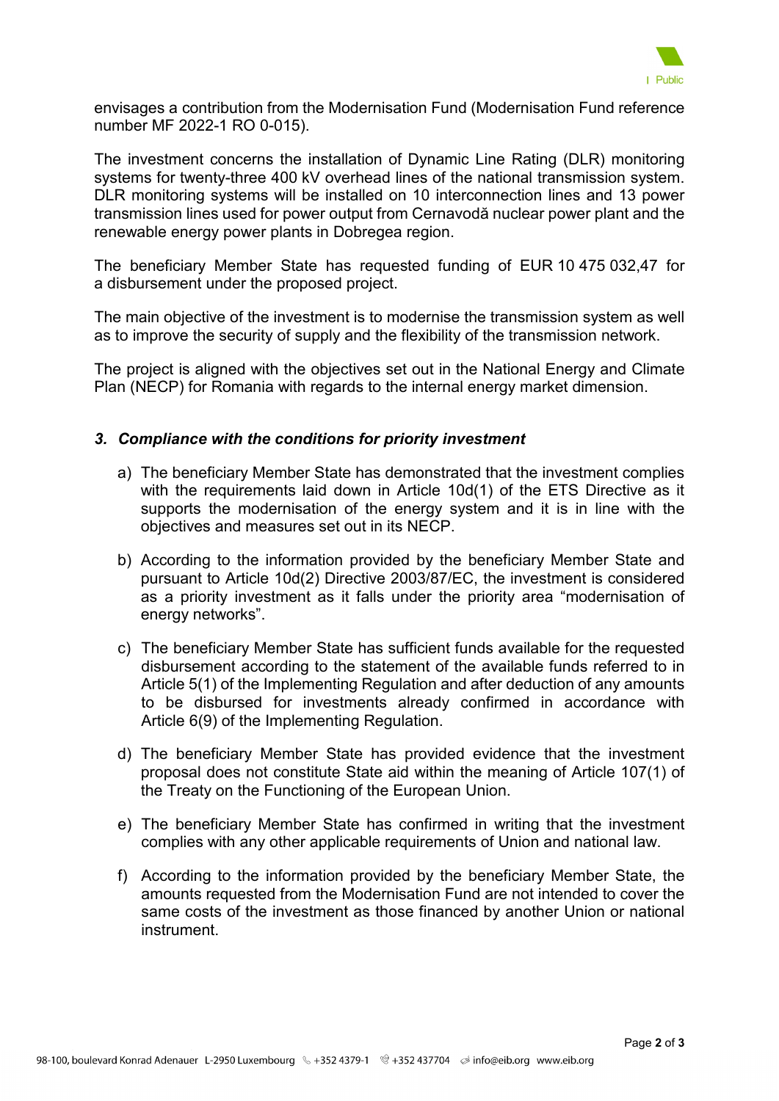

envisages a contribution from the Modernisation Fund (Modernisation Fund reference number MF 2022-1 RO 0-015).

The investment concerns the installation of Dynamic Line Rating (DLR) monitoring systems for twenty-three 400 kV overhead lines of the national transmission system. DLR monitoring systems will be installed on 10 interconnection lines and 13 power transmission lines used for power output from Cernavodă nuclear power plant and the renewable energy power plants in Dobregea region.

The beneficiary Member State has requested funding of EUR 10 475 032,47 for a disbursement under the proposed project.

The main objective of the investment is to modernise the transmission system as well as to improve the security of supply and the flexibility of the transmission network.

The project is aligned with the objectives set out in the National Energy and Climate Plan (NECP) for Romania with regards to the internal energy market dimension.

## *3. Compliance with the conditions for priority investment*

- a) The beneficiary Member State has demonstrated that the investment complies with the requirements laid down in Article 10d(1) of the ETS Directive as it supports the modernisation of the energy system and it is in line with the objectives and measures set out in its NECP.
- b) According to the information provided by the beneficiary Member State and pursuant to Article 10d(2) Directive 2003/87/EC, the investment is considered as a priority investment as it falls under the priority area "modernisation of energy networks".
- c) The beneficiary Member State has sufficient funds available for the requested disbursement according to the statement of the available funds referred to in Article 5(1) of the Implementing Regulation and after deduction of any amounts to be disbursed for investments already confirmed in accordance with Article 6(9) of the Implementing Regulation.
- d) The beneficiary Member State has provided evidence that the investment proposal does not constitute State aid within the meaning of Article 107(1) of the Treaty on the Functioning of the European Union.
- e) The beneficiary Member State has confirmed in writing that the investment complies with any other applicable requirements of Union and national law.
- f) According to the information provided by the beneficiary Member State, the amounts requested from the Modernisation Fund are not intended to cover the same costs of the investment as those financed by another Union or national instrument.